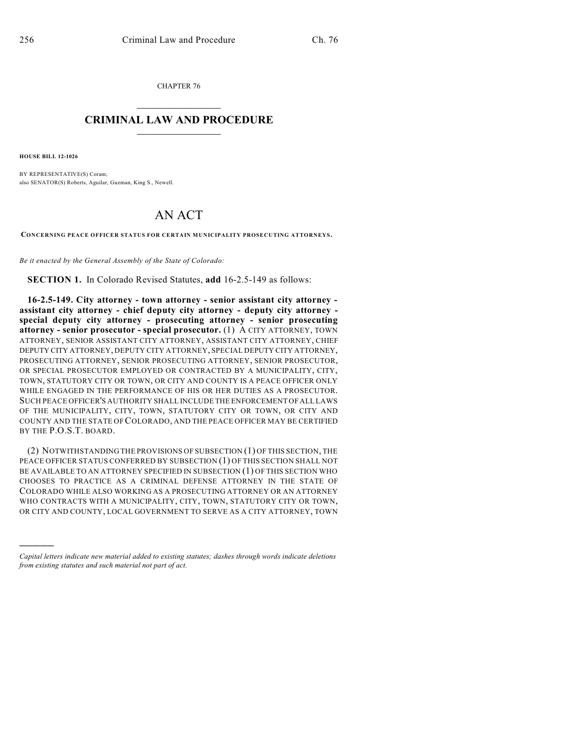CHAPTER 76  $\overline{\phantom{a}}$  . The set of the set of the set of the set of the set of the set of the set of the set of the set of the set of the set of the set of the set of the set of the set of the set of the set of the set of the set o

## **CRIMINAL LAW AND PROCEDURE**  $\frac{1}{2}$  ,  $\frac{1}{2}$  ,  $\frac{1}{2}$  ,  $\frac{1}{2}$  ,  $\frac{1}{2}$  ,  $\frac{1}{2}$  ,  $\frac{1}{2}$

**HOUSE BILL 12-1026**

)))))

BY REPRESENTATIVE(S) Coram; also SENATOR(S) Roberts, Aguilar, Guzman, King S., Newell.

## AN ACT

**CONCERNING PEACE OFFICER STATUS FOR CERTAIN MUNICIPALITY PROSECUTING ATTORNEYS.**

*Be it enacted by the General Assembly of the State of Colorado:*

**SECTION 1.** In Colorado Revised Statutes, **add** 16-2.5-149 as follows:

**16-2.5-149. City attorney - town attorney - senior assistant city attorney assistant city attorney - chief deputy city attorney - deputy city attorney special deputy city attorney - prosecuting attorney - senior prosecuting attorney - senior prosecutor - special prosecutor.** (1) A CITY ATTORNEY, TOWN ATTORNEY, SENIOR ASSISTANT CITY ATTORNEY, ASSISTANT CITY ATTORNEY, CHIEF DEPUTY CITY ATTORNEY, DEPUTY CITY ATTORNEY, SPECIAL DEPUTY CITY ATTORNEY, PROSECUTING ATTORNEY, SENIOR PROSECUTING ATTORNEY, SENIOR PROSECUTOR, OR SPECIAL PROSECUTOR EMPLOYED OR CONTRACTED BY A MUNICIPALITY, CITY, TOWN, STATUTORY CITY OR TOWN, OR CITY AND COUNTY IS A PEACE OFFICER ONLY WHILE ENGAGED IN THE PERFORMANCE OF HIS OR HER DUTIES AS A PROSECUTOR. SUCH PEACE OFFICER'S AUTHORITY SHALL INCLUDE THE ENFORCEMENT OF ALL LAWS OF THE MUNICIPALITY, CITY, TOWN, STATUTORY CITY OR TOWN, OR CITY AND COUNTY AND THE STATE OF COLORADO, AND THE PEACE OFFICER MAY BE CERTIFIED BY THE P.O.S.T. BOARD.

(2) NOTWITHSTANDING THE PROVISIONS OF SUBSECTION (1) OF THIS SECTION, THE PEACE OFFICER STATUS CONFERRED BY SUBSECTION (1) OF THIS SECTION SHALL NOT BE AVAILABLE TO AN ATTORNEY SPECIFIED IN SUBSECTION (1) OF THIS SECTION WHO CHOOSES TO PRACTICE AS A CRIMINAL DEFENSE ATTORNEY IN THE STATE OF COLORADO WHILE ALSO WORKING AS A PROSECUTING ATTORNEY OR AN ATTORNEY WHO CONTRACTS WITH A MUNICIPALITY, CITY, TOWN, STATUTORY CITY OR TOWN, OR CITY AND COUNTY, LOCAL GOVERNMENT TO SERVE AS A CITY ATTORNEY, TOWN

*Capital letters indicate new material added to existing statutes; dashes through words indicate deletions from existing statutes and such material not part of act.*